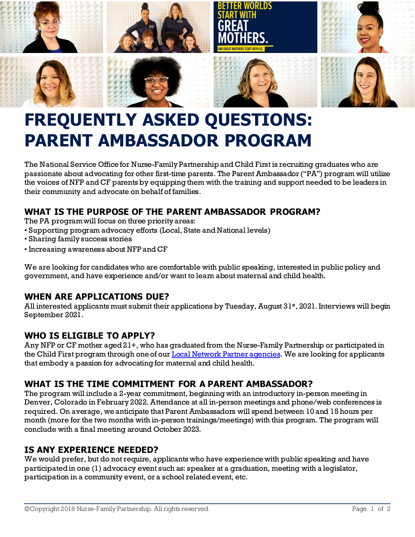

# **FREQUENTLY ASKED QUESTIONS: PARENT AMBASSADOR PROGRAM**

The National Service Officefor Nurse-Family Partnership and Child First is recruiting graduates who are passionate about advocating for other first-time parents. The Parent Ambassador ("PA") program will utilize the voices of NFP and CF parents by equipping them with the training and support needed to be leaders in their community and advocate on behalf of families.

# **WHAT IS THE PURPOSE OF THE PARENT AMBASSADOR PROGRAM?**

The PA program will focus on three priority areas:

- Supporting program advocacy efforts (Local, State and National levels)
- Sharing family success stories
- Increasing awareness about NFPand CF

We are looking for candidates who are comfortable with public speaking, interested in public policy and government, and have experience and/or want to learn about maternal and child health.

# **WHEN ARE APPLICATIONS DUE?**

All interested applicants must submit their applications by Tuesday, August  $31<sup>*</sup>$ , 2021. Interviews will begin September 2021.

# **WHO IS ELIGIBLE TO APPLY?**

Any NFP or CF mother aged 21+, who has graduated from the Nurse-Family Partnership or participated in the Child First program through one of our **Local Network Partner agencies**. We are looking for applicants that embody a passion for advocating for maternal and child health.

# **WHAT IS THE TIME COMMITMENT FOR A PARENT AMBASSADOR?**

The program will include a 2-year commitment, beginning with an introductory in-person meeting in Denver, Colorado in February 2022. Attendance at all in-person meetings and phone/web conferences is required. On average, we anticipate that Parent Ambassadors will spend between 10 and 15 hours per month (more for the two months with in-person trainings/meetings) with this program. The program will conclude with a final meeting around October 2023.

# **IS ANY EXPERIENCE NEEDED?**

We would prefer, but do not require, applicants who have experience with public speaking and have participated in one (1) advocacy event such as: speaker at a graduation, meeting with a legislator, participation in a community event, or a school related event, etc.